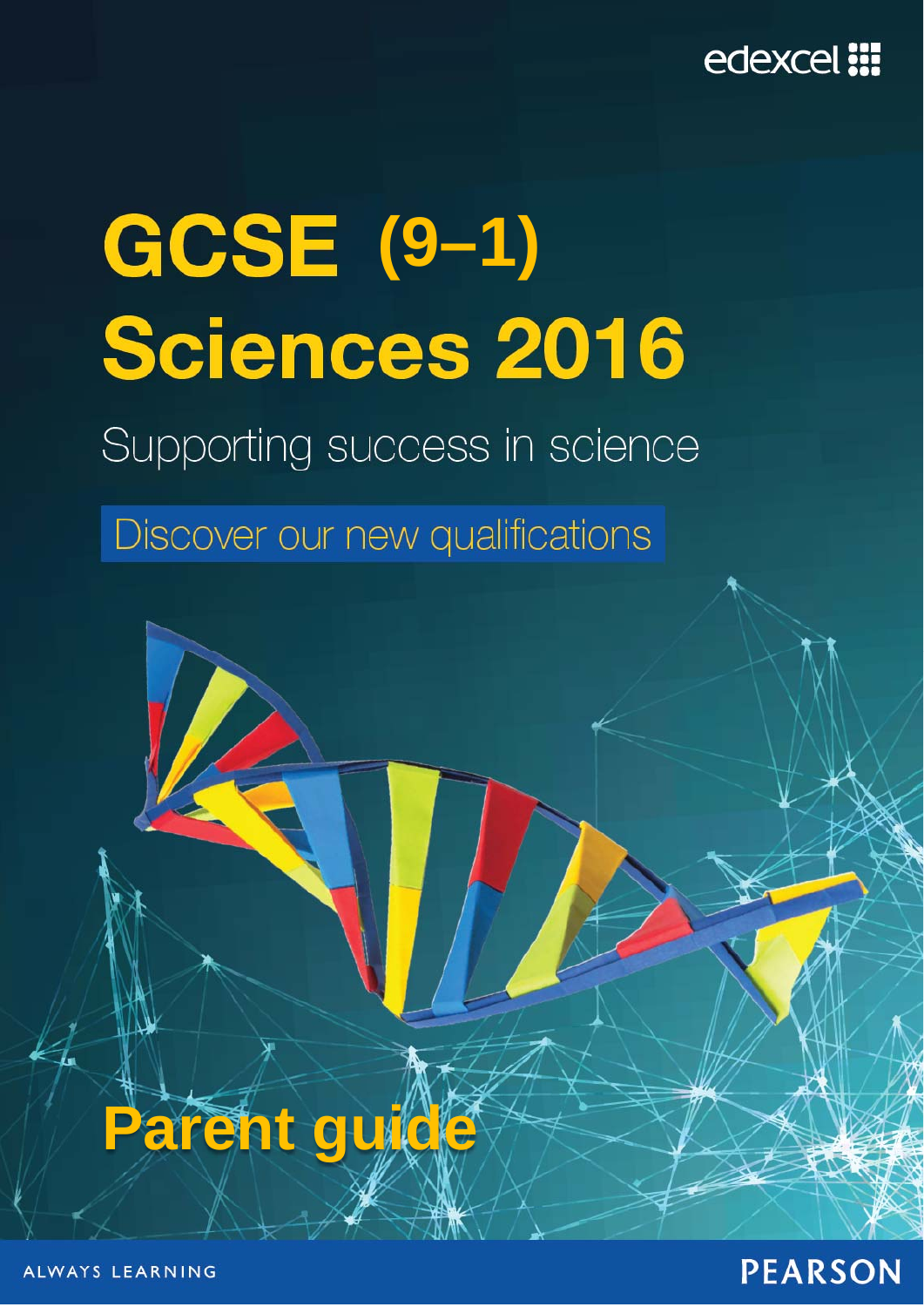

# **(9–1) Sciences 2016**

Supporting success in science

Discover our new qualifications

# **Parent guide**

ALWAYS LEARNING

# **PEARSON**

© Pearson Education Ltd 2016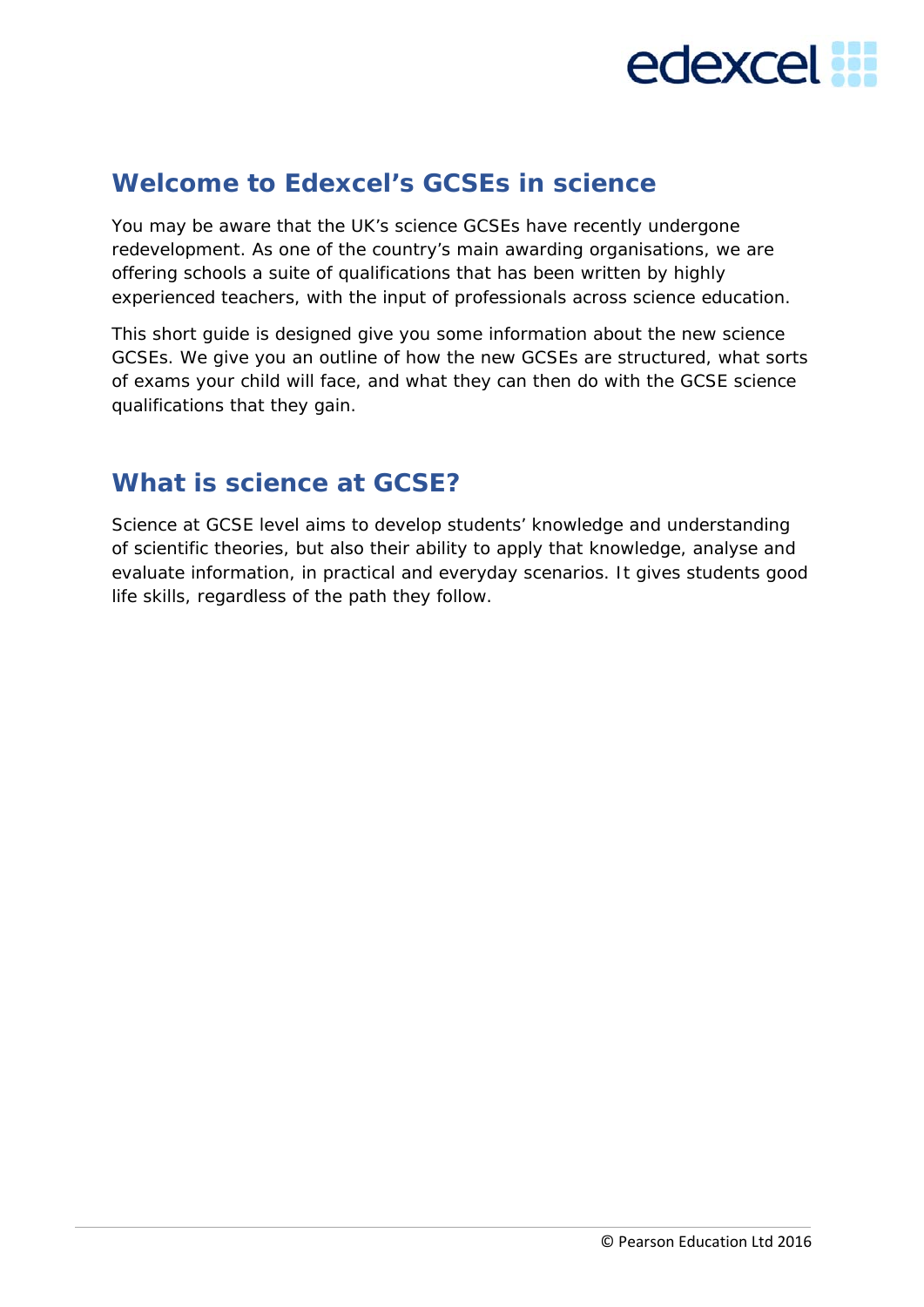# edexcel **:::**

# **Welcome to Edexcel's GCSEs in science**

You may be aware that the UK's science GCSEs have recently undergone redevelopment. As one of the country's main awarding organisations, we are offering schools a suite of qualifications that has been written by highly experienced teachers, with the input of professionals across science education.

This short guide is designed give you some information about the new science GCSEs. We give you an outline of how the new GCSEs are structured, what sorts of exams your child will face, and what they can then do with the GCSE science qualifications that they gain.

# **What is science at GCSE?**

Science at GCSE level aims to develop students' knowledge and understanding of scientific theories, but also their ability to apply that knowledge, analyse and evaluate information, in practical and everyday scenarios. It gives students good life skills, regardless of the path they follow.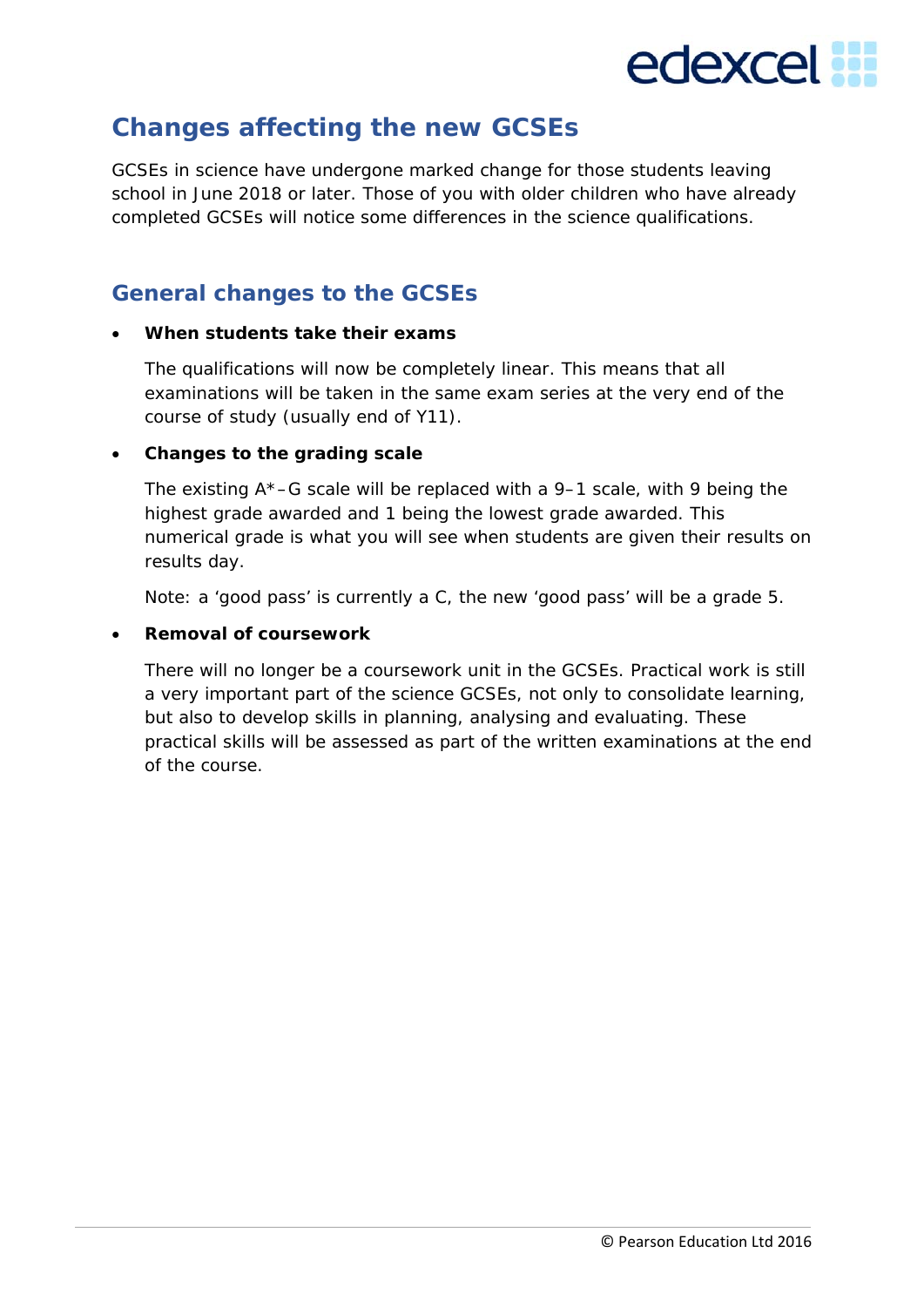

# **Changes affecting the new GCSEs**

GCSEs in science have undergone marked change for those students leaving school in June 2018 or later. Those of you with older children who have already completed GCSEs will notice some differences in the science qualifications.

#### **General changes to the GCSEs**

#### **When students take their exams**

The qualifications will now be completely linear. This means that all examinations will be taken in the same exam series at the very end of the course of study (usually end of Y11).

#### **Changes to the grading scale**

The existing  $A^*-G$  scale will be replaced with a 9–1 scale, with 9 being the highest grade awarded and 1 being the lowest grade awarded. This numerical grade is what you will see when students are given their results on results day.

Note: a 'good pass' is currently a C, the new 'good pass' will be a grade 5.

#### **Removal of coursework**

There will no longer be a coursework unit in the GCSEs. Practical work is still a very important part of the science GCSEs, not only to consolidate learning, but also to develop skills in planning, analysing and evaluating. These practical skills will be assessed as part of the written examinations at the end of the course.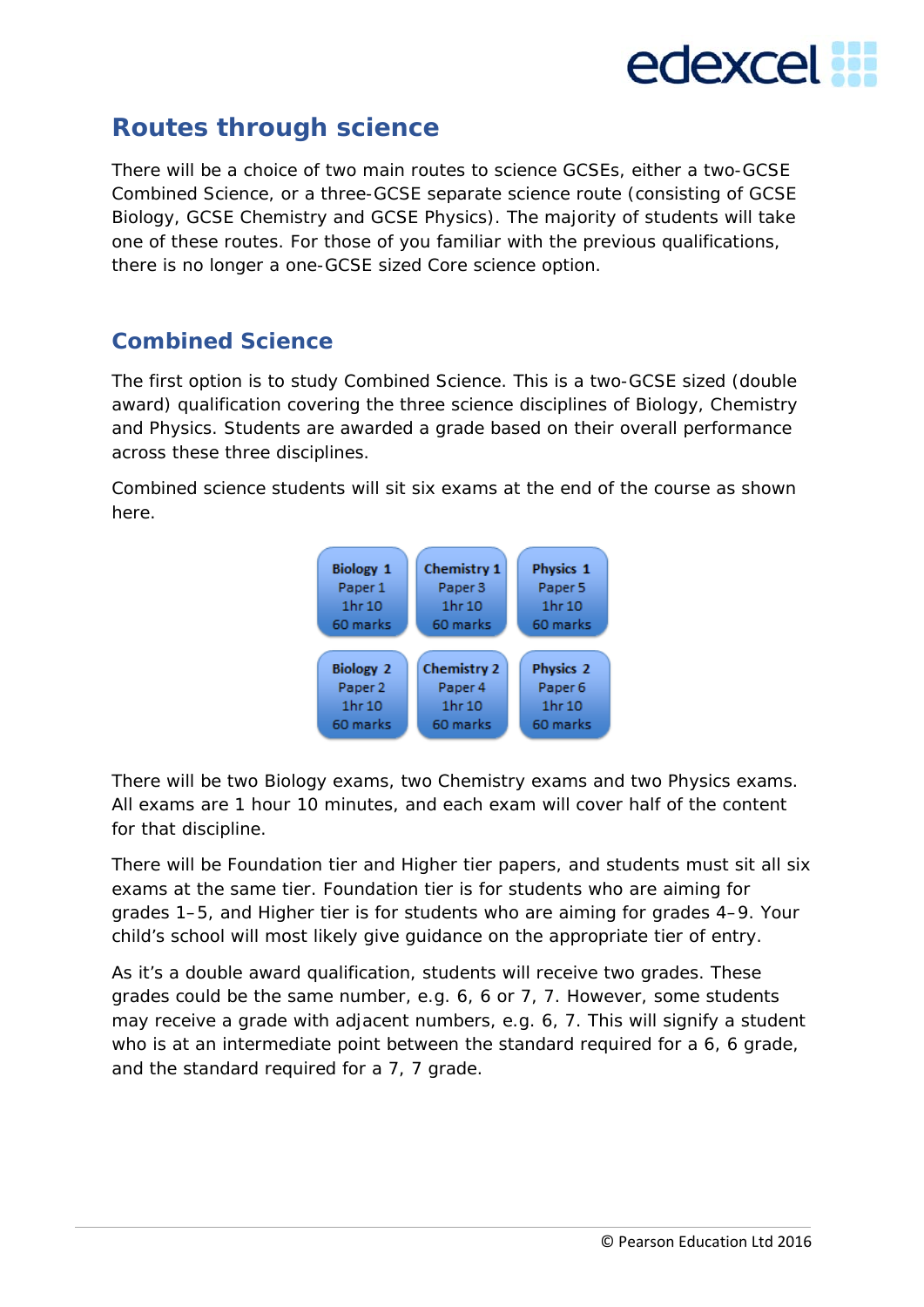

# **Routes through science**

There will be a choice of two main routes to science GCSEs, either a two-GCSE Combined Science, or a three-GCSE separate science route (consisting of GCSE Biology, GCSE Chemistry and GCSE Physics). The majority of students will take one of these routes. For those of you familiar with the previous qualifications, there is no longer a one-GCSE sized *Core science* option.

#### **Combined Science**

The first option is to study Combined Science. This is a two-GCSE sized (double award) qualification covering the three science disciplines of Biology, Chemistry and Physics. Students are awarded a grade based on their overall performance across these three disciplines.

Combined science students will sit six exams at the end of the course as shown here.



There will be two Biology exams, two Chemistry exams and two Physics exams. All exams are 1 hour 10 minutes, and each exam will cover half of the content for that discipline.

There will be Foundation tier and Higher tier papers, and students must sit all six exams at the same tier. Foundation tier is for students who are aiming for grades 1–5, and Higher tier is for students who are aiming for grades 4–9. Your child's school will most likely give guidance on the appropriate tier of entry.

As it's a double award qualification, students will receive two grades. These grades could be the same number, e.g. 6, 6 or 7, 7. However, some students may receive a grade with adjacent numbers, e.g. 6, 7. This will signify a student who is at an intermediate point between the standard required for a 6, 6 grade, and the standard required for a 7, 7 grade.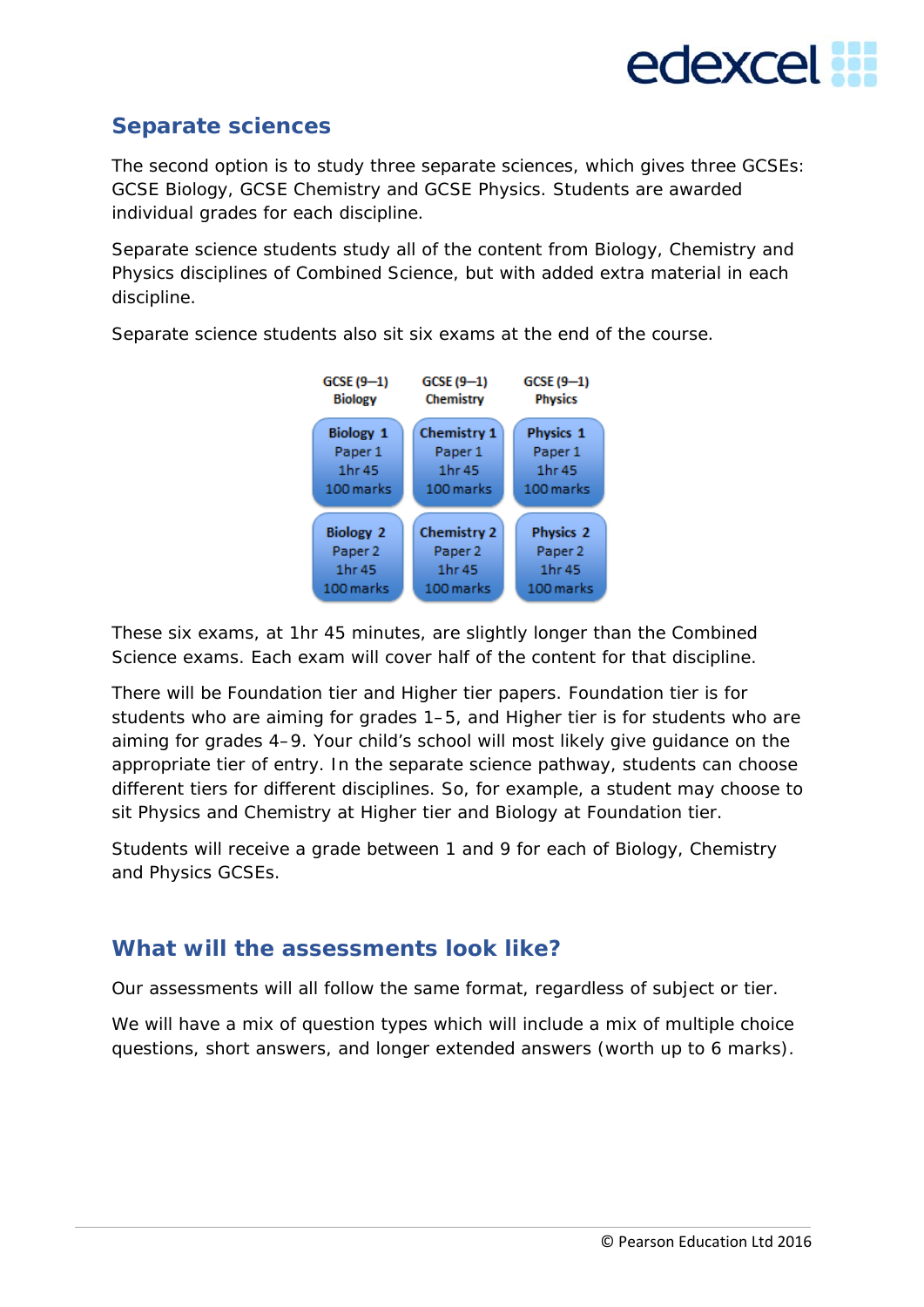

#### **Separate sciences**

The second option is to study three separate sciences, which gives three GCSEs: GCSE Biology, GCSE Chemistry and GCSE Physics. Students are awarded individual grades for each discipline.

Separate science students study all of the content from Biology, Chemistry and Physics disciplines of Combined Science, but with added extra material in each discipline.



Separate science students also sit six exams at the end of the course.

These six exams, at 1hr 45 minutes, are slightly longer than the Combined Science exams. Each exam will cover half of the content for that discipline.

There will be Foundation tier and Higher tier papers. Foundation tier is for students who are aiming for grades 1–5, and Higher tier is for students who are aiming for grades 4–9. Your child's school will most likely give guidance on the appropriate tier of entry. In the separate science pathway, students can choose different tiers for different disciplines. So, for example, a student may choose to sit Physics and Chemistry at Higher tier and Biology at Foundation tier.

Students will receive a grade between 1 and 9 for each of Biology, Chemistry and Physics GCSEs.

#### **What will the assessments look like?**

Our assessments will all follow the same format, regardless of subject or tier.

We will have a mix of question types which will include a mix of multiple choice questions, short answers, and longer extended answers (worth up to 6 marks).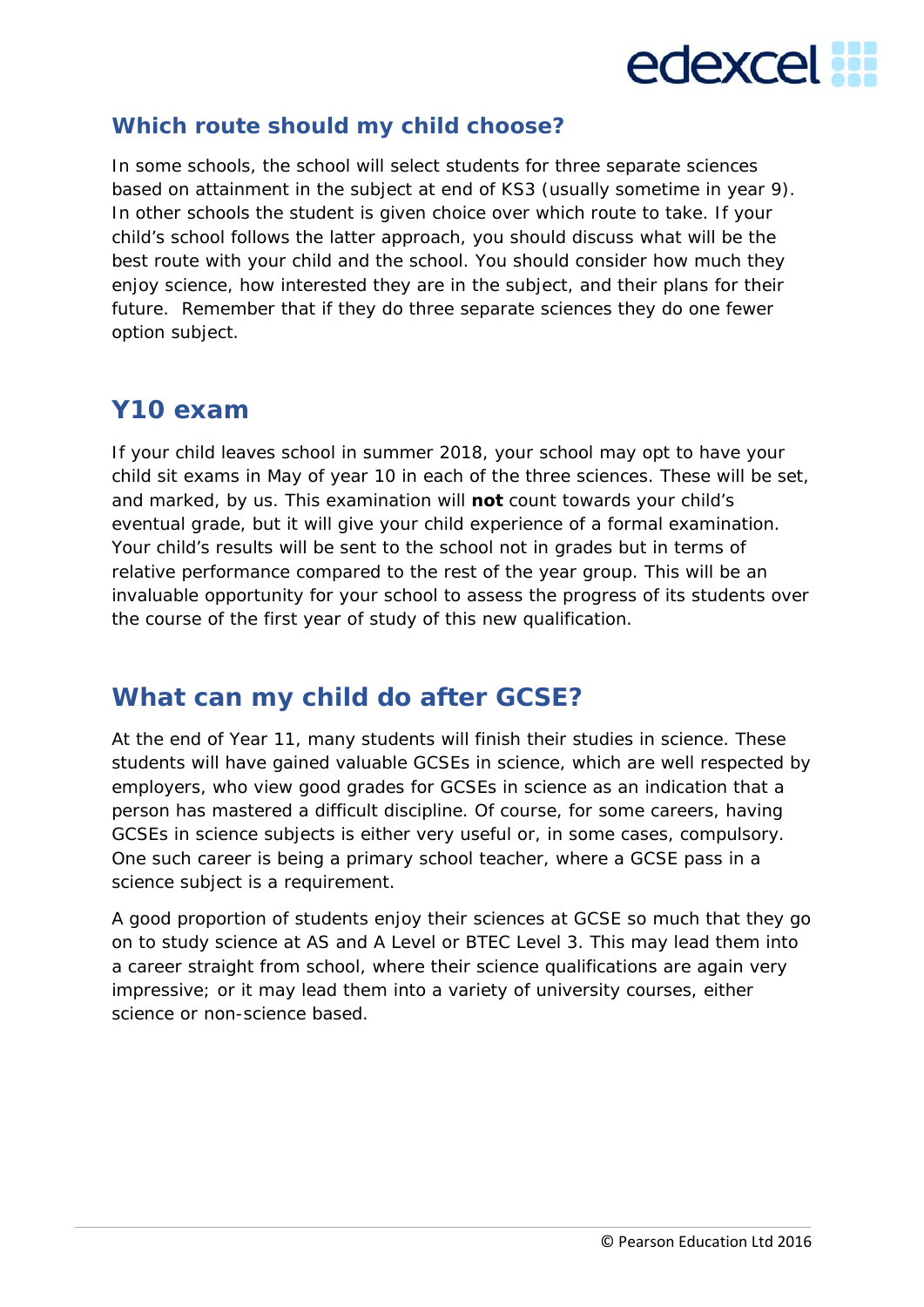

#### **Which route should my child choose?**

In some schools, the school will select students for three separate sciences based on attainment in the subject at end of KS3 (usually sometime in year 9). In other schools the student is given choice over which route to take. If your child's school follows the latter approach, you should discuss what will be the best route with your child and the school. You should consider how much they enjoy science, how interested they are in the subject, and their plans for their future. Remember that if they do three separate sciences they do one fewer option subject.

## **Y10 exam**

If your child leaves school in summer 2018, your school may opt to have your child sit exams in May of year 10 in each of the three sciences. These will be set, and marked, by us. This examination will **not** count towards your child's eventual grade, but it will give your child experience of a formal examination. Your child's results will be sent to the school not in grades but in terms of relative performance compared to the rest of the year group. This will be an invaluable opportunity for your school to assess the progress of its students over the course of the first year of study of this new qualification.

## **What can my child do after GCSE?**

At the end of Year 11, many students will finish their studies in science. These students will have gained valuable GCSEs in science, which are well respected by employers, who view good grades for GCSEs in science as an indication that a person has mastered a difficult discipline. Of course, for some careers, having GCSEs in science subjects is either very useful or, in some cases, compulsory. One such career is being a primary school teacher, where a GCSE pass in a science subject is a requirement.

A good proportion of students enjoy their sciences at GCSE so much that they go on to study science at AS and A Level or BTEC Level 3. This may lead them into a career straight from school, where their science qualifications are again very impressive; or it may lead them into a variety of university courses, either science or non-science based.